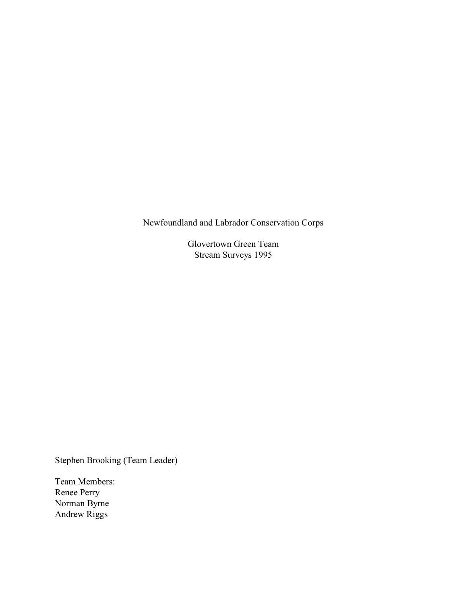Newfoundland and Labrador Conservation Corps

Glovertown Green Team Stream Surveys 1995

Stephen Brooking (Team Leader)

Team Members: Renee Perry Norman Byrne Andrew Riggs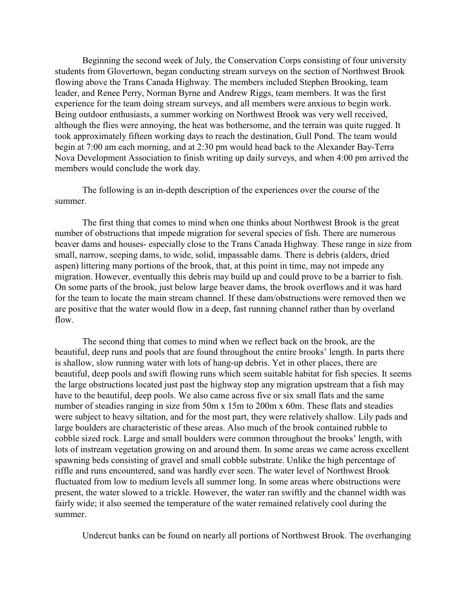Beginning the second week of July, the Conservation Corps consisting of four university students from Glovertown, began conducting stream surveys on the section of Northwest Brook flowing above the Trans Canada Highway. The members included Stephen Brooking, team leader, and Renee Perry, Norman Byrne and Andrew Riggs, team members. It was the first experience for the team doing stream surveys, and all members were anxious to begin work. Being outdoor enthusiasts, a summer working on Northwest Brook was very well received, although the flies were annoying, the heat was bothersome, and the terrain was quite rugged. It took approximately fifteen working days to reach the destination, Gull Pond. The team would begin at 7:00 am each morning, and at 2:30 pm would head back to the Alexander Bay-Terra Nova Development Association to finish writing up daily surveys, and when 4:00 pm arrived the members would conclude the work day.

The following is an in-depth description of the experiences over the course of the summer.

The first thing that comes to mind when one thinks about Northwest Brook is the great number of obstructions that impede migration for several species of fish. There are numerous beaver dams and houses- especially close to the Trans Canada Highway. These range in size from small, narrow, seeping dams, to wide, solid, impassable dams. There is debris (alders, dried aspen) littering many portions of the brook, that, at this point in time, may not impede any migration. However, eventually this debris may build up and could prove to be a barrier to fish. On some parts of the brook, just below large beaver dams, the brook overflows and it was hard for the team to locate the main stream channel. If these dam/obstructions were removed then we are positive that the water would flow in a deep, fast running channel rather than by overland flow.

The second thing that comes to mind when we reflect back on the brook, are the beautiful, deep runs and pools that are found throughout the entire brooks' length. In parts there is shallow, slow running water with lots of hang-up debris. Yet in other places, there are beautiful, deep pools and swift flowing runs which seem suitable habitat for fish species. It seems the large obstructions located just past the highway stop any migration upstream that a fish may have to the beautiful, deep pools. We also came across five or six small flats and the same number of steadies ranging in size from 50m x 15m to 200m x 60m. These flats and steadies were subject to heavy siltation, and for the most part, they were relatively shallow. Lily pads and large boulders are characteristic of these areas. Also much of the brook contained rubble to cobble sized rock. Large and small boulders were common throughout the brooks' length, with lots of instream vegetation growing on and around them. In some areas we came across excellent spawning beds consisting of gravel and small cobble substrate. Unlike the high percentage of riffle and runs encountered, sand was hardly ever seen. The water level of Northwest Brook fluctuated from low to medium levels all summer long. In some areas where obstructions were present, the water slowed to a trickle. However, the water ran swiftly and the channel width was fairly wide; it also seemed the temperature of the water remained relatively cool during the summer.

Undercut banks can be found on nearly all portions of Northwest Brook. The overhanging